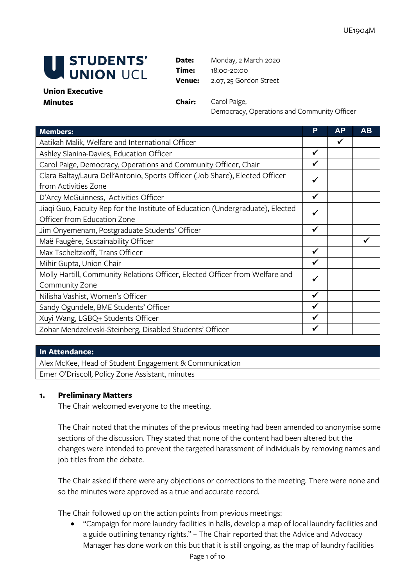

**Date:** Monday, 2 March 2020 **Time:** 18:00-20:00 **Venue:** 2.07, 25 Gordon Street

#### **Union Executive Minutes Chair:** Carol Paige,

Democracy, Operations and Community Officer

| <b>Members:</b>                                                                | P            | AP | AВ |
|--------------------------------------------------------------------------------|--------------|----|----|
| Aatikah Malik, Welfare and International Officer                               |              |    |    |
| Ashley Slanina-Davies, Education Officer                                       |              |    |    |
| Carol Paige, Democracy, Operations and Community Officer, Chair                |              |    |    |
| Clara Baltay/Laura Dell'Antonio, Sports Officer (Job Share), Elected Officer   |              |    |    |
| from Activities Zone                                                           |              |    |    |
| D'Arcy McGuinness, Activities Officer                                          | ✔            |    |    |
| Jiaqi Guo, Faculty Rep for the Institute of Education (Undergraduate), Elected | ✔            |    |    |
| Officer from Education Zone                                                    |              |    |    |
| Jim Onyemenam, Postgraduate Students' Officer                                  | ✓            |    |    |
| Maë Faugère, Sustainability Officer                                            |              |    |    |
| Max Tscheltzkoff, Trans Officer                                                | $\checkmark$ |    |    |
| Mihir Gupta, Union Chair                                                       | ✔            |    |    |
| Molly Hartill, Community Relations Officer, Elected Officer from Welfare and   | ✔            |    |    |
| Community Zone                                                                 |              |    |    |
| Nilisha Vashist, Women's Officer                                               | $\checkmark$ |    |    |
| Sandy Ogundele, BME Students' Officer                                          | ✓            |    |    |
| Xuyi Wang, LGBQ+ Students Officer                                              | ✓            |    |    |
| Zohar Mendzelevski-Steinberg, Disabled Students' Officer                       | ✔            |    |    |

## **In Attendance:**

Alex McKee, Head of Student Engagement & Communication Emer O'Driscoll, Policy Zone Assistant, minutes

# **1. Preliminary Matters**

The Chair welcomed everyone to the meeting.

The Chair noted that the minutes of the previous meeting had been amended to anonymise some sections of the discussion. They stated that none of the content had been altered but the changes were intended to prevent the targeted harassment of individuals by removing names and job titles from the debate.

The Chair asked if there were any objections or corrections to the meeting. There were none and so the minutes were approved as a true and accurate record.

The Chair followed up on the action points from previous meetings:

• "Campaign for more laundry facilities in halls, develop a map of local laundry facilities and a guide outlining tenancy rights." – The Chair reported that the Advice and Advocacy Manager has done work on this but that it is still ongoing, as the map of laundry facilities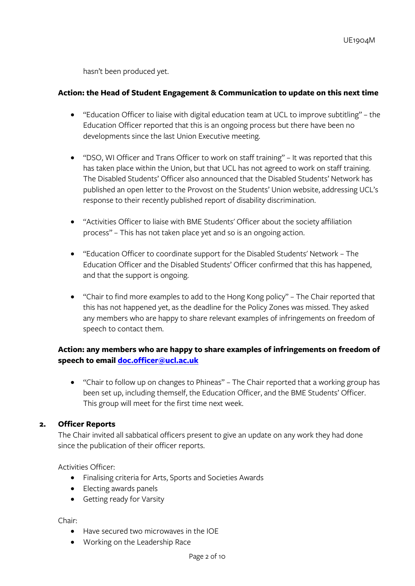hasn't been produced yet.

#### **Action: the Head of Student Engagement & Communication to update on this next time**

- "Education Officer to liaise with digital education team at UCL to improve subtitling" the Education Officer reported that this is an ongoing process but there have been no developments since the last Union Executive meeting.
- "DSO, WI Officer and Trans Officer to work on staff training" It was reported that this has taken place within the Union, but that UCL has not agreed to work on staff training. The Disabled Students' Officer also announced that the Disabled Students' Network has published an open letter to the Provost on the Students' Union website, addressing UCL's response to their recently published report of disability discrimination.
- "Activities Officer to liaise with BME Students' Officer about the society affiliation process" – This has not taken place yet and so is an ongoing action.
- "Education Officer to coordinate support for the Disabled Students' Network The Education Officer and the Disabled Students' Officer confirmed that this has happened, and that the support is ongoing.
- "Chair to find more examples to add to the Hong Kong policy" The Chair reported that this has not happened yet, as the deadline for the Policy Zones was missed. They asked any members who are happy to share relevant examples of infringements on freedom of speech to contact them.

# **Action: any members who are happy to share examples of infringements on freedom of speech to email [doc.officer@ucl.ac.uk](mailto:doc.officer@ucl.ac.uk)**

• "Chair to follow up on changes to Phineas" – The Chair reported that a working group has been set up, including themself, the Education Officer, and the BME Students' Officer. This group will meet for the first time next week.

## **2. Officer Reports**

The Chair invited all sabbatical officers present to give an update on any work they had done since the publication of their officer reports.

Activities Officer:

- Finalising criteria for Arts, Sports and Societies Awards
- Electing awards panels
- Getting ready for Varsity

Chair:

- Have secured two microwaves in the IOE
- Working on the Leadership Race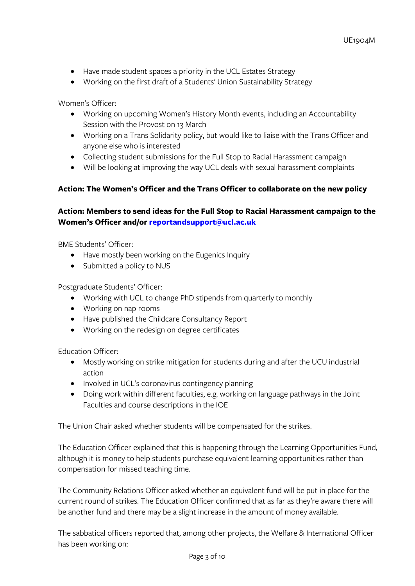- Have made student spaces a priority in the UCL Estates Strategy
- Working on the first draft of a Students' Union Sustainability Strategy

Women's Officer:

- Working on upcoming Women's History Month events, including an Accountability Session with the Provost on 13 March
- Working on a Trans Solidarity policy, but would like to liaise with the Trans Officer and anyone else who is interested
- Collecting student submissions for the Full Stop to Racial Harassment campaign
- Will be looking at improving the way UCL deals with sexual harassment complaints

## **Action: The Women's Officer and the Trans Officer to collaborate on the new policy**

# **Action: Members to send ideas for the Full Stop to Racial Harassment campaign to the Women's Officer and/or [reportandsupport@ucl.ac.uk](mailto:reportandsupport@ucl.ac.uk)**

BME Students' Officer:

- Have mostly been working on the Eugenics Inquiry
- Submitted a policy to NUS

Postgraduate Students' Officer:

- Working with UCL to change PhD stipends from quarterly to monthly
- Working on nap rooms
- Have published the Childcare Consultancy Report
- Working on the redesign on degree certificates

Education Officer:

- Mostly working on strike mitigation for students during and after the UCU industrial action
- Involved in UCL's coronavirus contingency planning
- Doing work within different faculties, e.g. working on language pathways in the Joint Faculties and course descriptions in the IOE

The Union Chair asked whether students will be compensated for the strikes.

The Education Officer explained that this is happening through the Learning Opportunities Fund, although it is money to help students purchase equivalent learning opportunities rather than compensation for missed teaching time.

The Community Relations Officer asked whether an equivalent fund will be put in place for the current round of strikes. The Education Officer confirmed that as far as they're aware there will be another fund and there may be a slight increase in the amount of money available.

The sabbatical officers reported that, among other projects, the Welfare & International Officer has been working on: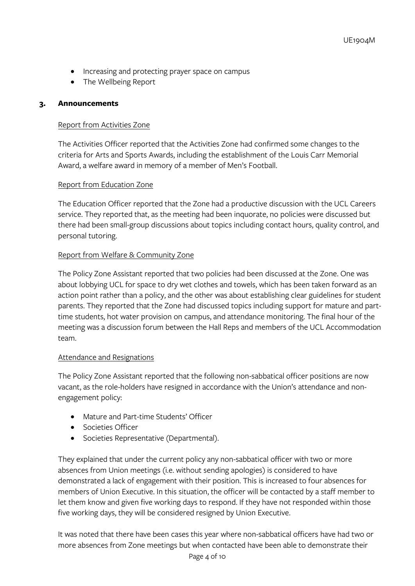- Increasing and protecting prayer space on campus
- The Wellbeing Report

## **3. Announcements**

#### Report from Activities Zone

The Activities Officer reported that the Activities Zone had confirmed some changes to the criteria for Arts and Sports Awards, including the establishment of the Louis Carr Memorial Award, a welfare award in memory of a member of Men's Football.

#### Report from Education Zone

The Education Officer reported that the Zone had a productive discussion with the UCL Careers service. They reported that, as the meeting had been inquorate, no policies were discussed but there had been small-group discussions about topics including contact hours, quality control, and personal tutoring.

## Report from Welfare & Community Zone

The Policy Zone Assistant reported that two policies had been discussed at the Zone. One was about lobbying UCL for space to dry wet clothes and towels, which has been taken forward as an action point rather than a policy, and the other was about establishing clear guidelines for student parents. They reported that the Zone had discussed topics including support for mature and parttime students, hot water provision on campus, and attendance monitoring. The final hour of the meeting was a discussion forum between the Hall Reps and members of the UCL Accommodation team.

## Attendance and Resignations

The Policy Zone Assistant reported that the following non-sabbatical officer positions are now vacant, as the role-holders have resigned in accordance with the Union's attendance and nonengagement policy:

- Mature and Part-time Students' Officer
- Societies Officer
- Societies Representative (Departmental).

They explained that under the current policy any non-sabbatical officer with two or more absences from Union meetings (i.e. without sending apologies) is considered to have demonstrated a lack of engagement with their position. This is increased to four absences for members of Union Executive. In this situation, the officer will be contacted by a staff member to let them know and given five working days to respond. If they have not responded within those five working days, they will be considered resigned by Union Executive.

It was noted that there have been cases this year where non-sabbatical officers have had two or more absences from Zone meetings but when contacted have been able to demonstrate their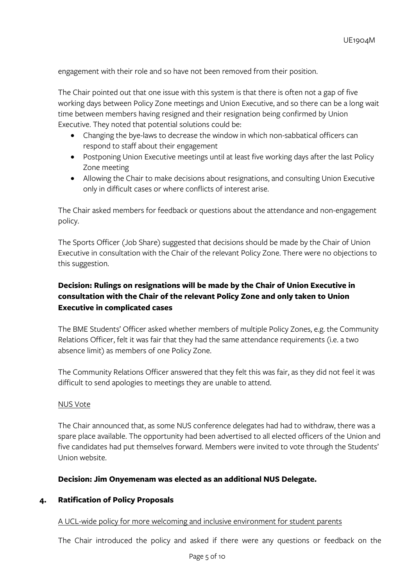engagement with their role and so have not been removed from their position.

The Chair pointed out that one issue with this system is that there is often not a gap of five working days between Policy Zone meetings and Union Executive, and so there can be a long wait time between members having resigned and their resignation being confirmed by Union Executive. They noted that potential solutions could be:

- Changing the bye-laws to decrease the window in which non-sabbatical officers can respond to staff about their engagement
- Postponing Union Executive meetings until at least five working days after the last Policy Zone meeting
- Allowing the Chair to make decisions about resignations, and consulting Union Executive only in difficult cases or where conflicts of interest arise.

The Chair asked members for feedback or questions about the attendance and non-engagement policy.

The Sports Officer (Job Share) suggested that decisions should be made by the Chair of Union Executive in consultation with the Chair of the relevant Policy Zone. There were no objections to this suggestion.

# **Decision: Rulings on resignations will be made by the Chair of Union Executive in consultation with the Chair of the relevant Policy Zone and only taken to Union Executive in complicated cases**

The BME Students' Officer asked whether members of multiple Policy Zones, e.g. the Community Relations Officer, felt it was fair that they had the same attendance requirements (i.e. a two absence limit) as members of one Policy Zone.

The Community Relations Officer answered that they felt this was fair, as they did not feel it was difficult to send apologies to meetings they are unable to attend.

#### NUS Vote

The Chair announced that, as some NUS conference delegates had had to withdraw, there was a spare place available. The opportunity had been advertised to all elected officers of the Union and five candidates had put themselves forward. Members were invited to vote through the Students' Union website.

## **Decision: Jim Onyemenam was elected as an additional NUS Delegate.**

## **4. Ratification of Policy Proposals**

#### A UCL-wide policy for more welcoming and inclusive environment for student parents

The Chair introduced the policy and asked if there were any questions or feedback on the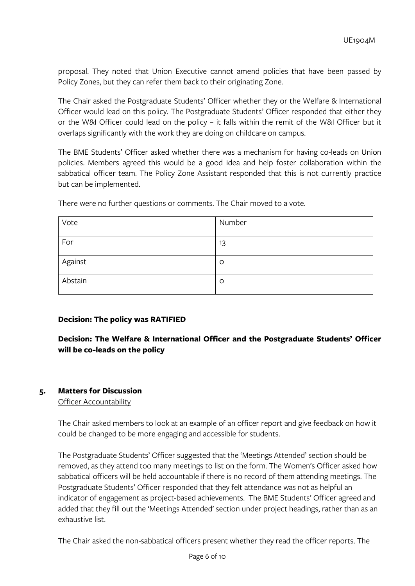proposal. They noted that Union Executive cannot amend policies that have been passed by Policy Zones, but they can refer them back to their originating Zone.

The Chair asked the Postgraduate Students' Officer whether they or the Welfare & International Officer would lead on this policy. The Postgraduate Students' Officer responded that either they or the W&I Officer could lead on the policy – it falls within the remit of the W&I Officer but it overlaps significantly with the work they are doing on childcare on campus.

The BME Students' Officer asked whether there was a mechanism for having co-leads on Union policies. Members agreed this would be a good idea and help foster collaboration within the sabbatical officer team. The Policy Zone Assistant responded that this is not currently practice but can be implemented.

| Vote    | Number  |
|---------|---------|
| For     | 13      |
| Against | $\circ$ |
| Abstain | $\circ$ |

There were no further questions or comments. The Chair moved to a vote.

## **Decision: The policy was RATIFIED**

**Decision: The Welfare & International Officer and the Postgraduate Students' Officer will be co-leads on the policy**

## **5. Matters for Discussion**

Officer Accountability

The Chair asked members to look at an example of an officer report and give feedback on how it could be changed to be more engaging and accessible for students.

The Postgraduate Students' Officer suggested that the 'Meetings Attended' section should be removed, as they attend too many meetings to list on the form. The Women's Officer asked how sabbatical officers will be held accountable if there is no record of them attending meetings. The Postgraduate Students' Officer responded that they felt attendance was not as helpful an indicator of engagement as project-based achievements. The BME Students' Officer agreed and added that they fill out the 'Meetings Attended' section under project headings, rather than as an exhaustive list.

The Chair asked the non-sabbatical officers present whether they read the officer reports. The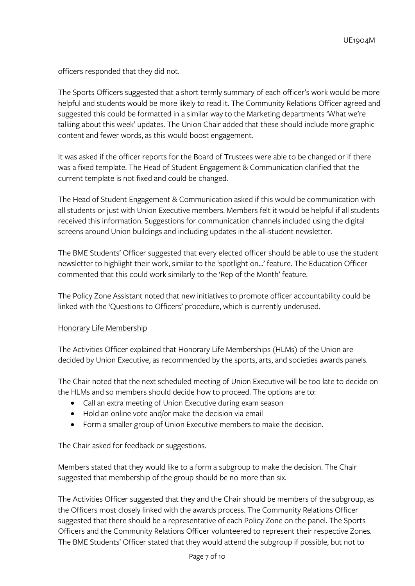officers responded that they did not.

The Sports Officers suggested that a short termly summary of each officer's work would be more helpful and students would be more likely to read it. The Community Relations Officer agreed and suggested this could be formatted in a similar way to the Marketing departments 'What we're talking about this week' updates. The Union Chair added that these should include more graphic content and fewer words, as this would boost engagement.

It was asked if the officer reports for the Board of Trustees were able to be changed or if there was a fixed template. The Head of Student Engagement & Communication clarified that the current template is not fixed and could be changed.

The Head of Student Engagement & Communication asked if this would be communication with all students or just with Union Executive members. Members felt it would be helpful if all students received this information. Suggestions for communication channels included using the digital screens around Union buildings and including updates in the all-student newsletter.

The BME Students' Officer suggested that every elected officer should be able to use the student newsletter to highlight their work, similar to the 'spotlight on…' feature. The Education Officer commented that this could work similarly to the 'Rep of the Month' feature.

The Policy Zone Assistant noted that new initiatives to promote officer accountability could be linked with the 'Questions to Officers' procedure, which is currently underused.

## Honorary Life Membership

The Activities Officer explained that Honorary Life Memberships (HLMs) of the Union are decided by Union Executive, as recommended by the sports, arts, and societies awards panels.

The Chair noted that the next scheduled meeting of Union Executive will be too late to decide on the HLMs and so members should decide how to proceed. The options are to:

- Call an extra meeting of Union Executive during exam season
- Hold an online vote and/or make the decision via email
- Form a smaller group of Union Executive members to make the decision.

The Chair asked for feedback or suggestions.

Members stated that they would like to a form a subgroup to make the decision. The Chair suggested that membership of the group should be no more than six.

The Activities Officer suggested that they and the Chair should be members of the subgroup, as the Officers most closely linked with the awards process. The Community Relations Officer suggested that there should be a representative of each Policy Zone on the panel. The Sports Officers and the Community Relations Officer volunteered to represent their respective Zones. The BME Students' Officer stated that they would attend the subgroup if possible, but not to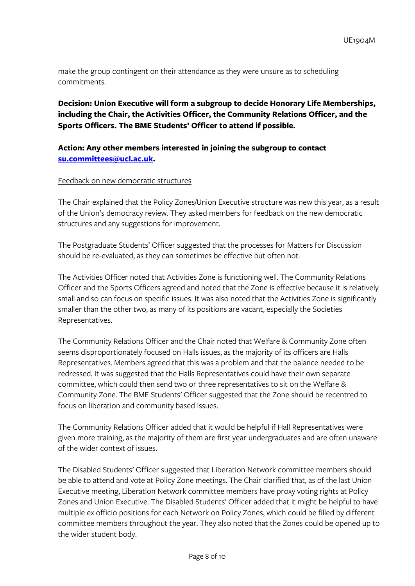make the group contingent on their attendance as they were unsure as to scheduling commitments.

**Decision: Union Executive will form a subgroup to decide Honorary Life Memberships, including the Chair, the Activities Officer, the Community Relations Officer, and the Sports Officers. The BME Students' Officer to attend if possible.** 

# **Action: Any other members interested in joining the subgroup to contact [su.committees@ucl.ac.uk.](mailto:su.committees@ucl.ac.uk)**

#### Feedback on new democratic structures

The Chair explained that the Policy Zones/Union Executive structure was new this year, as a result of the Union's democracy review. They asked members for feedback on the new democratic structures and any suggestions for improvement.

The Postgraduate Students' Officer suggested that the processes for Matters for Discussion should be re-evaluated, as they can sometimes be effective but often not.

The Activities Officer noted that Activities Zone is functioning well. The Community Relations Officer and the Sports Officers agreed and noted that the Zone is effective because it is relatively small and so can focus on specific issues. It was also noted that the Activities Zone is significantly smaller than the other two, as many of its positions are vacant, especially the Societies Representatives.

The Community Relations Officer and the Chair noted that Welfare & Community Zone often seems disproportionately focused on Halls issues, as the majority of its officers are Halls Representatives. Members agreed that this was a problem and that the balance needed to be redressed. It was suggested that the Halls Representatives could have their own separate committee, which could then send two or three representatives to sit on the Welfare & Community Zone. The BME Students' Officer suggested that the Zone should be recentred to focus on liberation and community based issues.

The Community Relations Officer added that it would be helpful if Hall Representatives were given more training, as the majority of them are first year undergraduates and are often unaware of the wider context of issues.

The Disabled Students' Officer suggested that Liberation Network committee members should be able to attend and vote at Policy Zone meetings. The Chair clarified that, as of the last Union Executive meeting, Liberation Network committee members have proxy voting rights at Policy Zones and Union Executive. The Disabled Students' Officer added that it might be helpful to have multiple ex officio positions for each Network on Policy Zones, which could be filled by different committee members throughout the year. They also noted that the Zones could be opened up to the wider student body.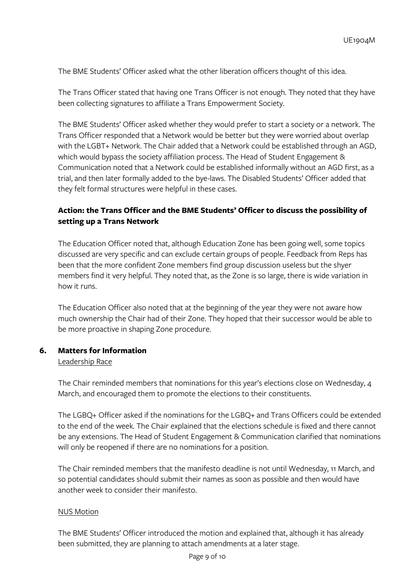The BME Students' Officer asked what the other liberation officers thought of this idea.

The Trans Officer stated that having one Trans Officer is not enough. They noted that they have been collecting signatures to affiliate a Trans Empowerment Society.

The BME Students' Officer asked whether they would prefer to start a society or a network. The Trans Officer responded that a Network would be better but they were worried about overlap with the LGBT+ Network. The Chair added that a Network could be established through an AGD, which would bypass the society affiliation process. The Head of Student Engagement & Communication noted that a Network could be established informally without an AGD first, as a trial, and then later formally added to the bye-laws. The Disabled Students' Officer added that they felt formal structures were helpful in these cases.

# **Action: the Trans Officer and the BME Students' Officer to discuss the possibility of setting up a Trans Network**

The Education Officer noted that, although Education Zone has been going well, some topics discussed are very specific and can exclude certain groups of people. Feedback from Reps has been that the more confident Zone members find group discussion useless but the shyer members find it very helpful. They noted that, as the Zone is so large, there is wide variation in how it runs.

The Education Officer also noted that at the beginning of the year they were not aware how much ownership the Chair had of their Zone. They hoped that their successor would be able to be more proactive in shaping Zone procedure.

## **6. Matters for Information**

#### Leadership Race

The Chair reminded members that nominations for this year's elections close on Wednesday, 4 March, and encouraged them to promote the elections to their constituents.

The LGBQ+ Officer asked if the nominations for the LGBQ+ and Trans Officers could be extended to the end of the week. The Chair explained that the elections schedule is fixed and there cannot be any extensions. The Head of Student Engagement & Communication clarified that nominations will only be reopened if there are no nominations for a position.

The Chair reminded members that the manifesto deadline is not until Wednesday, 11 March, and so potential candidates should submit their names as soon as possible and then would have another week to consider their manifesto.

#### NUS Motion

The BME Students' Officer introduced the motion and explained that, although it has already been submitted, they are planning to attach amendments at a later stage.